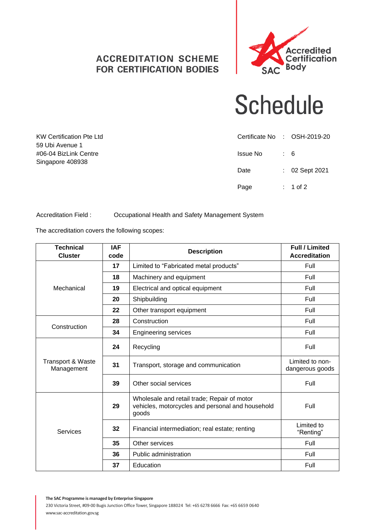## **ACCREDITATION SCHEME FOR CERTIFICATION BODIES**



## **Schedule**

|          | Certificate No : OSH-2019-20 |
|----------|------------------------------|
| Issue No | $\therefore$ 6               |
| Date     | $: 02$ Sept 2021             |
| Page     | $: 1$ of 2                   |

Accreditation Field : Occupational Health and Safety Management System

The accreditation covers the following scopes:

KW Certification Pte Ltd

59 Ubi Avenue 1 #06-04 BizLink Centre Singapore 408938

| <b>Technical</b><br><b>Cluster</b>         | <b>IAF</b><br>code | <b>Description</b>                                                                                       | <b>Full / Limited</b><br><b>Accreditation</b> |
|--------------------------------------------|--------------------|----------------------------------------------------------------------------------------------------------|-----------------------------------------------|
|                                            | 17                 | Limited to "Fabricated metal products"                                                                   | Full                                          |
| Mechanical                                 | 18                 | Machinery and equipment                                                                                  | Full                                          |
|                                            | 19                 | Electrical and optical equipment                                                                         | Full                                          |
|                                            | 20                 | Shipbuilding                                                                                             | Full                                          |
|                                            | 22                 | Other transport equipment                                                                                | Full                                          |
| Construction                               | 28                 | Construction                                                                                             | Full                                          |
|                                            | 34                 | <b>Engineering services</b>                                                                              | Full                                          |
| <b>Transport &amp; Waste</b><br>Management | 24                 | Recycling                                                                                                | Full                                          |
|                                            | 31                 | Transport, storage and communication                                                                     | Limited to non-<br>dangerous goods            |
|                                            | 39                 | Other social services                                                                                    | Full                                          |
| <b>Services</b>                            | 29                 | Wholesale and retail trade; Repair of motor<br>vehicles, motorcycles and personal and household<br>goods | Full                                          |
|                                            | 32                 | Financial intermediation; real estate; renting                                                           | Limited to<br>"Renting"                       |
|                                            | 35                 | Other services                                                                                           | Full                                          |
|                                            | 36                 | Public administration                                                                                    | Full                                          |
|                                            | 37                 | Education                                                                                                | Full                                          |